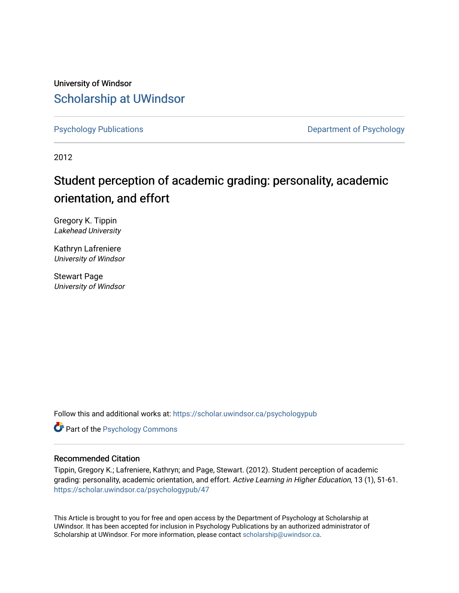University of Windsor [Scholarship at UWindsor](https://scholar.uwindsor.ca/) 

[Psychology Publications](https://scholar.uwindsor.ca/psychologypub) **Department of Psychology** 

2012

# Student perception of academic grading: personality, academic orientation, and effort

Gregory K. Tippin Lakehead University

Kathryn Lafreniere University of Windsor

Stewart Page University of Windsor

Follow this and additional works at: [https://scholar.uwindsor.ca/psychologypub](https://scholar.uwindsor.ca/psychologypub?utm_source=scholar.uwindsor.ca%2Fpsychologypub%2F47&utm_medium=PDF&utm_campaign=PDFCoverPages) 

**Part of the Psychology Commons** 

# Recommended Citation

Tippin, Gregory K.; Lafreniere, Kathryn; and Page, Stewart. (2012). Student perception of academic grading: personality, academic orientation, and effort. Active Learning in Higher Education, 13 (1), 51-61. [https://scholar.uwindsor.ca/psychologypub/47](https://scholar.uwindsor.ca/psychologypub/47?utm_source=scholar.uwindsor.ca%2Fpsychologypub%2F47&utm_medium=PDF&utm_campaign=PDFCoverPages)

This Article is brought to you for free and open access by the Department of Psychology at Scholarship at UWindsor. It has been accepted for inclusion in Psychology Publications by an authorized administrator of Scholarship at UWindsor. For more information, please contact [scholarship@uwindsor.ca.](mailto:scholarship@uwindsor.ca)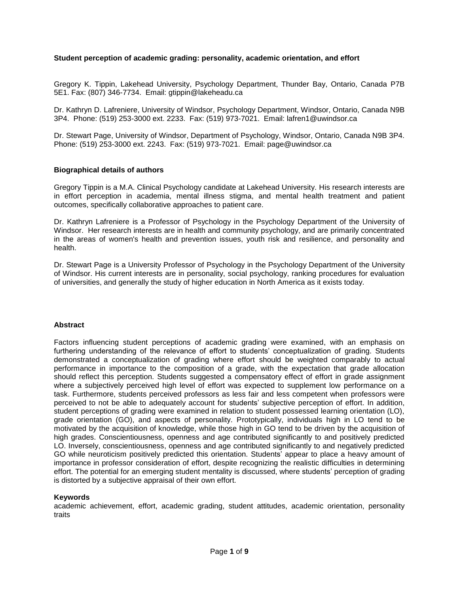# **Student perception of academic grading: personality, academic orientation, and effort**

Gregory K. Tippin, Lakehead University, Psychology Department, Thunder Bay, Ontario, Canada P7B 5E1. Fax: (807) 346-7734. Email: gtippin@lakeheadu.ca

Dr. Kathryn D. Lafreniere, University of Windsor, Psychology Department, Windsor, Ontario, Canada N9B 3P4. Phone: (519) 253-3000 ext. 2233. Fax: (519) 973-7021. Email: lafren1@uwindsor.ca

Dr. Stewart Page, University of Windsor, Department of Psychology, Windsor, Ontario, Canada N9B 3P4. Phone: (519) 253-3000 ext. 2243. Fax: (519) 973-7021. Email: page@uwindsor.ca

#### **Biographical details of authors**

Gregory Tippin is a M.A. Clinical Psychology candidate at Lakehead University. His research interests are in effort perception in academia, mental illness stigma, and mental health treatment and patient outcomes, specifically collaborative approaches to patient care.

Dr. Kathryn Lafreniere is a Professor of Psychology in the Psychology Department of the University of Windsor. Her research interests are in health and community psychology, and are primarily concentrated in the areas of women's health and prevention issues, youth risk and resilience, and personality and health.

Dr. Stewart Page is a University Professor of Psychology in the Psychology Department of the University of Windsor. His current interests are in personality, social psychology, ranking procedures for evaluation of universities, and generally the study of higher education in North America as it exists today.

#### **Abstract**

Factors influencing student perceptions of academic grading were examined, with an emphasis on furthering understanding of the relevance of effort to students' conceptualization of grading. Students demonstrated a conceptualization of grading where effort should be weighted comparably to actual performance in importance to the composition of a grade, with the expectation that grade allocation should reflect this perception. Students suggested a compensatory effect of effort in grade assignment where a subjectively perceived high level of effort was expected to supplement low performance on a task. Furthermore, students perceived professors as less fair and less competent when professors were perceived to not be able to adequately account for students' subjective perception of effort. In addition, student perceptions of grading were examined in relation to student possessed learning orientation (LO), grade orientation (GO), and aspects of personality. Prototypically, individuals high in LO tend to be motivated by the acquisition of knowledge, while those high in GO tend to be driven by the acquisition of high grades. Conscientiousness, openness and age contributed significantly to and positively predicted LO. Inversely, conscientiousness, openness and age contributed significantly to and negatively predicted GO while neuroticism positively predicted this orientation. Students' appear to place a heavy amount of importance in professor consideration of effort, despite recognizing the realistic difficulties in determining effort. The potential for an emerging student mentality is discussed, where students' perception of grading is distorted by a subjective appraisal of their own effort.

#### **Keywords**

academic achievement, effort, academic grading, student attitudes, academic orientation, personality traits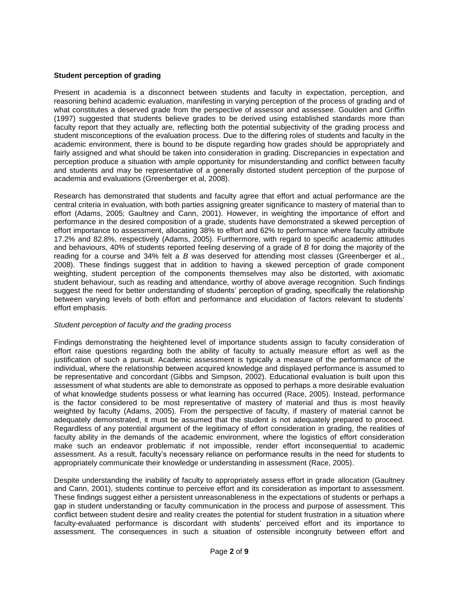# **Student perception of grading**

Present in academia is a disconnect between students and faculty in expectation, perception, and reasoning behind academic evaluation, manifesting in varying perception of the process of grading and of what constitutes a deserved grade from the perspective of assessor and assessee. Goulden and Griffin (1997) suggested that students believe grades to be derived using established standards more than faculty report that they actually are, reflecting both the potential subjectivity of the grading process and student misconceptions of the evaluation process. Due to the differing roles of students and faculty in the academic environment, there is bound to be dispute regarding how grades should be appropriately and fairly assigned and what should be taken into consideration in grading. Discrepancies in expectation and perception produce a situation with ample opportunity for misunderstanding and conflict between faculty and students and may be representative of a generally distorted student perception of the purpose of academia and evaluations (Greenberger et al, 2008).

Research has demonstrated that students and faculty agree that effort and actual performance are the central criteria in evaluation, with both parties assigning greater significance to mastery of material than to effort (Adams, 2005; Gaultney and Cann, 2001). However, in weighting the importance of effort and performance in the desired composition of a grade, students have demonstrated a skewed perception of effort importance to assessment, allocating 38% to effort and 62% to performance where faculty attribute 17.2% and 82.8%, respectively (Adams, 2005). Furthermore, with regard to specific academic attitudes and behaviours, 40% of students reported feeling deserving of a grade of *B* for doing the majority of the reading for a course and 34% felt a *B* was deserved for attending most classes (Greenberger et al., 2008). These findings suggest that in addition to having a skewed perception of grade component weighting, student perception of the components themselves may also be distorted, with axiomatic student behaviour, such as reading and attendance, worthy of above average recognition. Such findings suggest the need for better understanding of students' perception of grading, specifically the relationship between varying levels of both effort and performance and elucidation of factors relevant to students' effort emphasis.

#### *Student perception of faculty and the grading process*

Findings demonstrating the heightened level of importance students assign to faculty consideration of effort raise questions regarding both the ability of faculty to actually measure effort as well as the justification of such a pursuit. Academic assessment is typically a measure of the performance of the individual, where the relationship between acquired knowledge and displayed performance is assumed to be representative and concordant (Gibbs and Simpson, 2002). Educational evaluation is built upon this assessment of what students are able to demonstrate as opposed to perhaps a more desirable evaluation of what knowledge students possess or what learning has occurred (Race, 2005). Instead, performance is the factor considered to be most representative of mastery of material and thus is most heavily weighted by faculty (Adams, 2005). From the perspective of faculty, if mastery of material cannot be adequately demonstrated, it must be assumed that the student is not adequately prepared to proceed. Regardless of any potential argument of the legitimacy of effort consideration in grading, the realities of faculty ability in the demands of the academic environment, where the logistics of effort consideration make such an endeavor problematic if not impossible, render effort inconsequential to academic assessment. As a result, faculty's necessary reliance on performance results in the need for students to appropriately communicate their knowledge or understanding in assessment (Race, 2005).

Despite understanding the inability of faculty to appropriately assess effort in grade allocation (Gaultney and Cann, 2001), students continue to perceive effort and its consideration as important to assessment. These findings suggest either a persistent unreasonableness in the expectations of students or perhaps a gap in student understanding or faculty communication in the process and purpose of assessment. This conflict between student desire and reality creates the potential for student frustration in a situation where faculty-evaluated performance is discordant with students' perceived effort and its importance to assessment. The consequences in such a situation of ostensible incongruity between effort and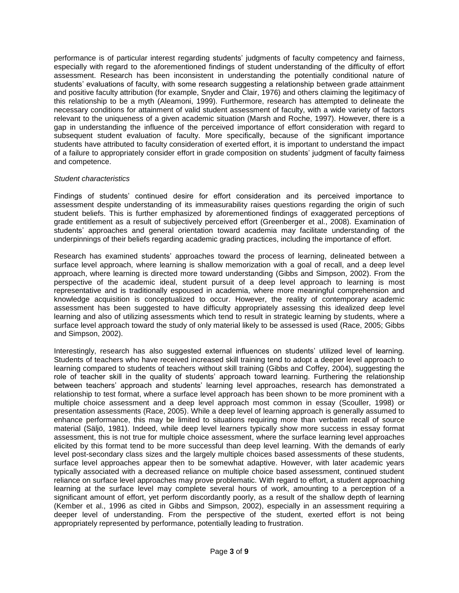performance is of particular interest regarding students' judgments of faculty competency and fairness, especially with regard to the aforementioned findings of student understanding of the difficulty of effort assessment. Research has been inconsistent in understanding the potentially conditional nature of students' evaluations of faculty, with some research suggesting a relationship between grade attainment and positive faculty attribution (for example, Snyder and Clair, 1976) and others claiming the legitimacy of this relationship to be a myth (Aleamoni, 1999). Furthermore, research has attempted to delineate the necessary conditions for attainment of valid student assessment of faculty, with a wide variety of factors relevant to the uniqueness of a given academic situation (Marsh and Roche, 1997). However, there is a gap in understanding the influence of the perceived importance of effort consideration with regard to subsequent student evaluation of faculty. More specifically, because of the significant importance students have attributed to faculty consideration of exerted effort, it is important to understand the impact of a failure to appropriately consider effort in grade composition on students' judgment of faculty fairness and competence.

# *Student characteristics*

Findings of students' continued desire for effort consideration and its perceived importance to assessment despite understanding of its immeasurability raises questions regarding the origin of such student beliefs. This is further emphasized by aforementioned findings of exaggerated perceptions of grade entitlement as a result of subjectively perceived effort (Greenberger et al., 2008). Examination of students' approaches and general orientation toward academia may facilitate understanding of the underpinnings of their beliefs regarding academic grading practices, including the importance of effort.

Research has examined students' approaches toward the process of learning, delineated between a surface level approach, where learning is shallow memorization with a goal of recall, and a deep level approach, where learning is directed more toward understanding (Gibbs and Simpson, 2002). From the perspective of the academic ideal, student pursuit of a deep level approach to learning is most representative and is traditionally espoused in academia, where more meaningful comprehension and knowledge acquisition is conceptualized to occur. However, the reality of contemporary academic assessment has been suggested to have difficulty appropriately assessing this idealized deep level learning and also of utilizing assessments which tend to result in strategic learning by students, where a surface level approach toward the study of only material likely to be assessed is used (Race, 2005; Gibbs and Simpson, 2002).

Interestingly, research has also suggested external influences on students' utilized level of learning. Students of teachers who have received increased skill training tend to adopt a deeper level approach to learning compared to students of teachers without skill training (Gibbs and Coffey, 2004), suggesting the role of teacher skill in the quality of students' approach toward learning. Furthering the relationship between teachers' approach and students' learning level approaches, research has demonstrated a relationship to test format, where a surface level approach has been shown to be more prominent with a multiple choice assessment and a deep level approach most common in essay (Scouller, 1998) or presentation assessments (Race, 2005). While a deep level of learning approach is generally assumed to enhance performance, this may be limited to situations requiring more than verbatim recall of source material (Säljö, 1981). Indeed, while deep level learners typically show more success in essay format assessment, this is not true for multiple choice assessment, where the surface learning level approaches elicited by this format tend to be more successful than deep level learning. With the demands of early level post-secondary class sizes and the largely multiple choices based assessments of these students, surface level approaches appear then to be somewhat adaptive. However, with later academic years typically associated with a decreased reliance on multiple choice based assessment, continued student reliance on surface level approaches may prove problematic. With regard to effort, a student approaching learning at the surface level may complete several hours of work, amounting to a perception of a significant amount of effort, yet perform discordantly poorly, as a result of the shallow depth of learning (Kember et al., 1996 as cited in Gibbs and Simpson, 2002), especially in an assessment requiring a deeper level of understanding. From the perspective of the student, exerted effort is not being appropriately represented by performance, potentially leading to frustration.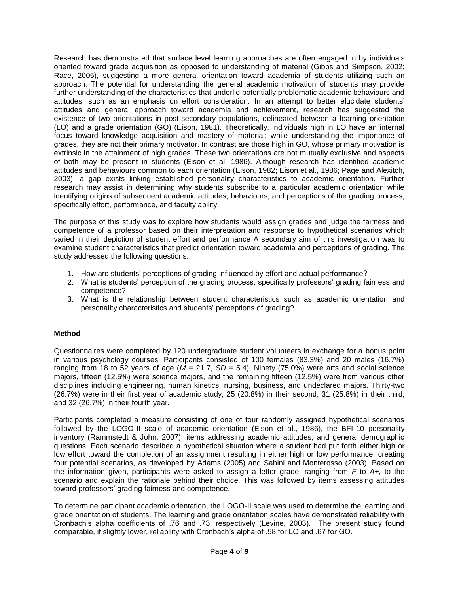Research has demonstrated that surface level learning approaches are often engaged in by individuals oriented toward grade acquisition as opposed to understanding of material (Gibbs and Simpson, 2002; Race, 2005), suggesting a more general orientation toward academia of students utilizing such an approach. The potential for understanding the general academic motivation of students may provide further understanding of the characteristics that underlie potentially problematic academic behaviours and attitudes, such as an emphasis on effort consideration. In an attempt to better elucidate students' attitudes and general approach toward academia and achievement, research has suggested the existence of two orientations in post-secondary populations, delineated between a learning orientation (LO) and a grade orientation (GO) (Eison, 1981). Theoretically, individuals high in LO have an internal focus toward knowledge acquisition and mastery of material; while understanding the importance of grades, they are not their primary motivator. In contrast are those high in GO, whose primary motivation is extrinsic in the attainment of high grades. These two orientations are not mutually exclusive and aspects of both may be present in students (Eison et al, 1986). Although research has identified academic attitudes and behaviours common to each orientation (Eison, 1982; Eison et al., 1986; Page and Alexitch, 2003), a gap exists linking established personality characteristics to academic orientation. Further research may assist in determining why students subscribe to a particular academic orientation while identifying origins of subsequent academic attitudes, behaviours, and perceptions of the grading process, specifically effort, performance, and faculty ability.

The purpose of this study was to explore how students would assign grades and judge the fairness and competence of a professor based on their interpretation and response to hypothetical scenarios which varied in their depiction of student effort and performance A secondary aim of this investigation was to examine student characteristics that predict orientation toward academia and perceptions of grading. The study addressed the following questions:

- 1. How are students' perceptions of grading influenced by effort and actual performance?
- 2. What is students' perception of the grading process, specifically professors' grading fairness and competence?
- 3. What is the relationship between student characteristics such as academic orientation and personality characteristics and students' perceptions of grading?

# **Method**

Questionnaires were completed by 120 undergraduate student volunteers in exchange for a bonus point in various psychology courses. Participants consisted of 100 females (83.3%) and 20 males (16.7%) ranging from 18 to 52 years of age (*M* = 21.7, *SD* = 5.4). Ninety (75.0%) were arts and social science majors, fifteen (12.5%) were science majors, and the remaining fifteen (12.5%) were from various other disciplines including engineering, human kinetics, nursing, business, and undeclared majors. Thirty-two (26.7%) were in their first year of academic study, 25 (20.8%) in their second, 31 (25.8%) in their third, and 32 (26.7%) in their fourth year.

Participants completed a measure consisting of one of four randomly assigned hypothetical scenarios followed by the LOGO-II scale of academic orientation (Eison et al., 1986), the BFI-10 personality inventory (Rammstedt & John, 2007), items addressing academic attitudes, and general demographic questions. Each scenario described a hypothetical situation where a student had put forth either high or low effort toward the completion of an assignment resulting in either high or low performance, creating four potential scenarios, as developed by Adams (2005) and Sabini and Monterosso (2003). Based on the information given, participants were asked to assign a letter grade, ranging from *F* to *A+*, to the scenario and explain the rationale behind their choice. This was followed by items assessing attitudes toward professors' grading fairness and competence.

To determine participant academic orientation, the LOGO-II scale was used to determine the learning and grade orientation of students. The learning and grade orientation scales have demonstrated reliability with Cronbach's alpha coefficients of .76 and .73, respectively (Levine, 2003). The present study found comparable, if slightly lower, reliability with Cronbach's alpha of .58 for LO and .67 for GO.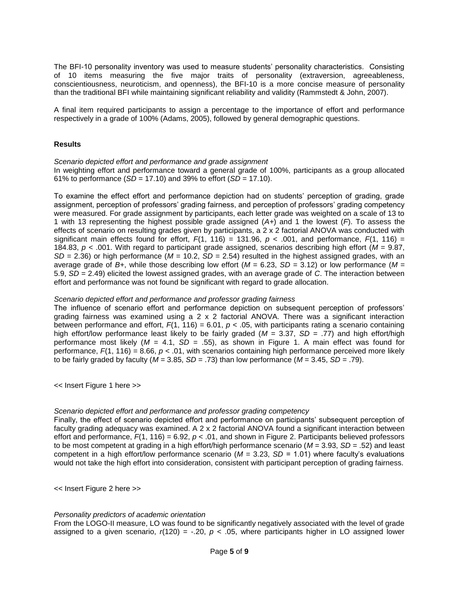The BFI-10 personality inventory was used to measure students' personality characteristics. Consisting of 10 items measuring the five major traits of personality (extraversion, agreeableness, conscientiousness, neuroticism, and openness), the BFI-10 is a more concise measure of personality than the traditional BFI while maintaining significant reliability and validity (Rammstedt & John, 2007).

A final item required participants to assign a percentage to the importance of effort and performance respectively in a grade of 100% (Adams, 2005), followed by general demographic questions.

# **Results**

#### *Scenario depicted effort and performance and grade assignment*

In weighting effort and performance toward a general grade of 100%, participants as a group allocated 61% to performance (*SD* = 17.10) and 39% to effort (*SD* = 17.10).

To examine the effect effort and performance depiction had on students' perception of grading, grade assignment, perception of professors' grading fairness, and perception of professors' grading competency were measured. For grade assignment by participants, each letter grade was weighted on a scale of 13 to 1 with 13 representing the highest possible grade assigned (*A+*) and 1 the lowest (*F*). To assess the effects of scenario on resulting grades given by participants, a 2 x 2 factorial ANOVA was conducted with significant main effects found for effort,  $F(1, 116) = 131.96$ ,  $p < .001$ , and performance,  $F(1, 116) =$ 184.83, *p* < .001. With regard to participant grade assigned, scenarios describing high effort (*M* = 9.87,  $SD = 2.36$ ) or high performance ( $M = 10.2$ ,  $SD = 2.54$ ) resulted in the highest assigned grades, with an average grade of  $B_{+}$ , while those describing low effort ( $M = 6.23$ ,  $SD = 3.12$ ) or low performance ( $M =$ 5.9, *SD* = 2.49) elicited the lowest assigned grades, with an average grade of *C*. The interaction between effort and performance was not found be significant with regard to grade allocation.

#### *Scenario depicted effort and performance and professor grading fairness*

The influence of scenario effort and performance depiction on subsequent perception of professors' grading fairness was examined using a 2 x 2 factorial ANOVA. There was a significant interaction between performance and effort,  $F(1, 116) = 6.01$ ,  $p < .05$ , with participants rating a scenario containing high effort/low performance least likely to be fairly graded ( $M = 3.37$ ,  $SD = .77$ ) and high effort/high performance most likely ( $M = 4.1$ ,  $SD = .55$ ), as shown in Figure 1. A main effect was found for performance, *F*(1, 116) = 8.66, *p* < .01, with scenarios containing high performance perceived more likely to be fairly graded by faculty ( $M = 3.85$ ,  $SD = .73$ ) than low performance ( $M = 3.45$ ,  $SD = .79$ ).

<< Insert Figure 1 here >>

#### *Scenario depicted effort and performance and professor grading competency*

Finally, the effect of scenario depicted effort and performance on participants' subsequent perception of faculty grading adequacy was examined. A 2 x 2 factorial ANOVA found a significant interaction between effort and performance, *F*(1, 116) = 6.92, *p* < .01, and shown in Figure 2. Participants believed professors to be most competent at grading in a high effort/high performance scenario (*M* = 3.93, *SD* = .52) and least competent in a high effort/low performance scenario (*M* = 3.23, *SD* = 1.01) where faculty's evaluations would not take the high effort into consideration, consistent with participant perception of grading fairness.

<< Insert Figure 2 here >>

#### *Personality predictors of academic orientation*

From the LOGO-II measure, LO was found to be significantly negatively associated with the level of grade assigned to a given scenario,  $r(120) = -20$ ,  $p < 0.05$ , where participants higher in LO assigned lower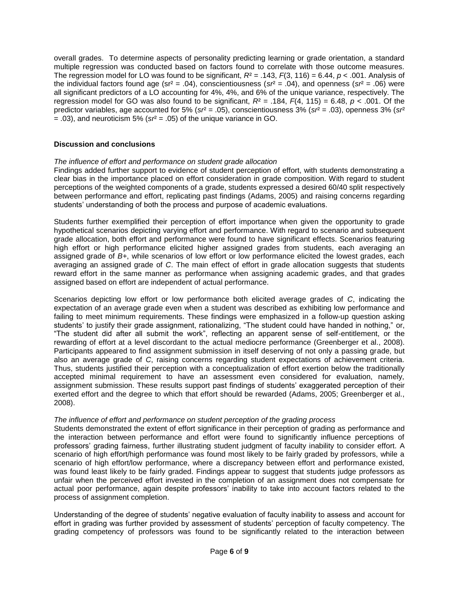overall grades. To determine aspects of personality predicting learning or grade orientation, a standard multiple regression was conducted based on factors found to correlate with those outcome measures. The regression model for LO was found to be significant,  $R^2 = .143$ ,  $F(3, 116) = 6.44$ ,  $p < .001$ . Analysis of the individual factors found age (sr² = .04), conscientiousness (*sr*² = .04), and openness (*sr*² = .06) were all significant predictors of a LO accounting for 4%, 4%, and 6% of the unique variance, respectively. The regression model for GO was also found to be significant,  $R^2 = .184$ ,  $F(4, 115) = 6.48$ ,  $p < .001$ . Of the predictor variables, age accounted for 5% (*sr*² = .05), conscientiousness 3% (*sr*² = .03), openness 3% (*sr*² = .03), and neuroticism 5% (*sr*² = .05) of the unique variance in GO.

# **Discussion and conclusions**

# *The influence of effort and performance on student grade allocation*

Findings added further support to evidence of student perception of effort, with students demonstrating a clear bias in the importance placed on effort consideration in grade composition. With regard to student perceptions of the weighted components of a grade, students expressed a desired 60/40 split respectively between performance and effort, replicating past findings (Adams, 2005) and raising concerns regarding students' understanding of both the process and purpose of academic evaluations.

Students further exemplified their perception of effort importance when given the opportunity to grade hypothetical scenarios depicting varying effort and performance. With regard to scenario and subsequent grade allocation, both effort and performance were found to have significant effects. Scenarios featuring high effort or high performance elicited higher assigned grades from students, each averaging an assigned grade of *B+*, while scenarios of low effort or low performance elicited the lowest grades, each averaging an assigned grade of *C*. The main effect of effort in grade allocation suggests that students reward effort in the same manner as performance when assigning academic grades, and that grades assigned based on effort are independent of actual performance.

Scenarios depicting low effort or low performance both elicited average grades of *C*, indicating the expectation of an average grade even when a student was described as exhibiting low performance and failing to meet minimum requirements. These findings were emphasized in a follow-up question asking students' to justify their grade assignment, rationalizing, "The student could have handed in nothing," or, "The student did after all submit the work", reflecting an apparent sense of self-entitlement, or the rewarding of effort at a level discordant to the actual mediocre performance (Greenberger et al., 2008). Participants appeared to find assignment submission in itself deserving of not only a passing grade, but also an average grade of *C*, raising concerns regarding student expectations of achievement criteria. Thus, students justified their perception with a conceptualization of effort exertion below the traditionally accepted minimal requirement to have an assessment even considered for evaluation, namely, assignment submission. These results support past findings of students' exaggerated perception of their exerted effort and the degree to which that effort should be rewarded (Adams, 2005; Greenberger et al., 2008).

#### *The influence of effort and performance on student perception of the grading process*

Students demonstrated the extent of effort significance in their perception of grading as performance and the interaction between performance and effort were found to significantly influence perceptions of professors' grading fairness, further illustrating student judgment of faculty inability to consider effort. A scenario of high effort/high performance was found most likely to be fairly graded by professors, while a scenario of high effort/low performance, where a discrepancy between effort and performance existed, was found least likely to be fairly graded. Findings appear to suggest that students judge professors as unfair when the perceived effort invested in the completion of an assignment does not compensate for actual poor performance, again despite professors' inability to take into account factors related to the process of assignment completion.

Understanding of the degree of students' negative evaluation of faculty inability to assess and account for effort in grading was further provided by assessment of students' perception of faculty competency. The grading competency of professors was found to be significantly related to the interaction between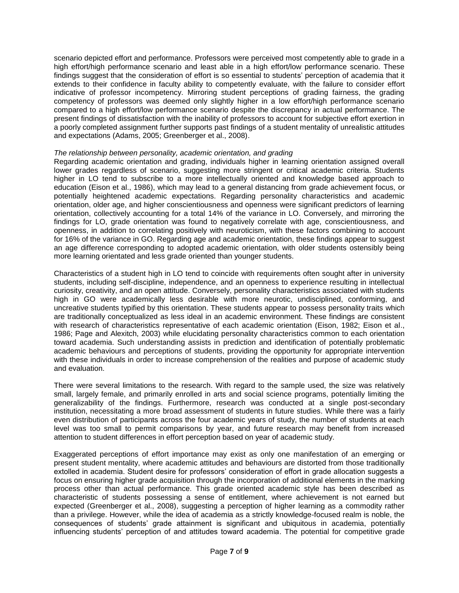scenario depicted effort and performance. Professors were perceived most competently able to grade in a high effort/high performance scenario and least able in a high effort/low performance scenario. These findings suggest that the consideration of effort is so essential to students' perception of academia that it extends to their confidence in faculty ability to competently evaluate, with the failure to consider effort indicative of professor incompetency. Mirroring student perceptions of grading fairness, the grading competency of professors was deemed only slightly higher in a low effort/high performance scenario compared to a high effort/low performance scenario despite the discrepancy in actual performance. The present findings of dissatisfaction with the inability of professors to account for subjective effort exertion in a poorly completed assignment further supports past findings of a student mentality of unrealistic attitudes and expectations (Adams, 2005; Greenberger et al., 2008).

#### *The relationship between personality, academic orientation, and grading*

Regarding academic orientation and grading, individuals higher in learning orientation assigned overall lower grades regardless of scenario, suggesting more stringent or critical academic criteria. Students higher in LO tend to subscribe to a more intellectually oriented and knowledge based approach to education (Eison et al., 1986), which may lead to a general distancing from grade achievement focus, or potentially heightened academic expectations. Regarding personality characteristics and academic orientation, older age, and higher conscientiousness and openness were significant predictors of learning orientation, collectively accounting for a total 14% of the variance in LO. Conversely, and mirroring the findings for LO, grade orientation was found to negatively correlate with age, conscientiousness, and openness, in addition to correlating positively with neuroticism, with these factors combining to account for 16% of the variance in GO. Regarding age and academic orientation, these findings appear to suggest an age difference corresponding to adopted academic orientation, with older students ostensibly being more learning orientated and less grade oriented than younger students.

Characteristics of a student high in LO tend to coincide with requirements often sought after in university students, including self-discipline, independence, and an openness to experience resulting in intellectual curiosity, creativity, and an open attitude. Conversely, personality characteristics associated with students high in GO were academically less desirable with more neurotic, undisciplined, conforming, and uncreative students typified by this orientation. These students appear to possess personality traits which are traditionally conceptualized as less ideal in an academic environment. These findings are consistent with research of characteristics representative of each academic orientation (Eison, 1982; Eison et al., 1986; Page and Alexitch, 2003) while elucidating personality characteristics common to each orientation toward academia. Such understanding assists in prediction and identification of potentially problematic academic behaviours and perceptions of students, providing the opportunity for appropriate intervention with these individuals in order to increase comprehension of the realities and purpose of academic study and evaluation.

There were several limitations to the research. With regard to the sample used, the size was relatively small, largely female, and primarily enrolled in arts and social science programs, potentially limiting the generalizability of the findings. Furthermore, research was conducted at a single post-secondary institution, necessitating a more broad assessment of students in future studies. While there was a fairly even distribution of participants across the four academic years of study, the number of students at each level was too small to permit comparisons by year, and future research may benefit from increased attention to student differences in effort perception based on year of academic study.

Exaggerated perceptions of effort importance may exist as only one manifestation of an emerging or present student mentality, where academic attitudes and behaviours are distorted from those traditionally extolled in academia. Student desire for professors' consideration of effort in grade allocation suggests a focus on ensuring higher grade acquisition through the incorporation of additional elements in the marking process other than actual performance. This grade oriented academic style has been described as characteristic of students possessing a sense of entitlement, where achievement is not earned but expected (Greenberger et al., 2008), suggesting a perception of higher learning as a commodity rather than a privilege. However, while the idea of academia as a strictly knowledge-focused realm is noble, the consequences of students' grade attainment is significant and ubiquitous in academia, potentially influencing students' perception of and attitudes toward academia. The potential for competitive grade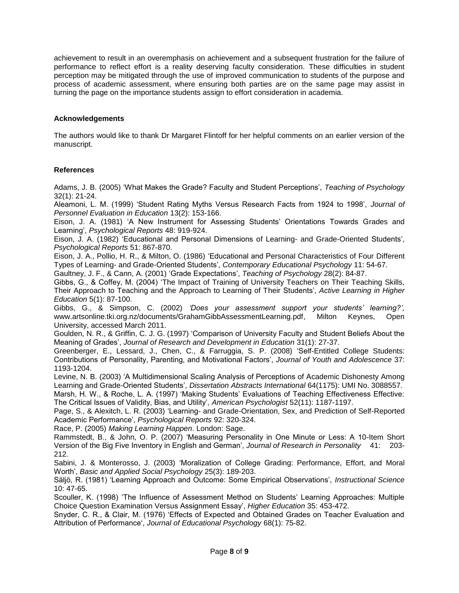achievement to result in an overemphasis on achievement and a subsequent frustration for the failure of performance to reflect effort is a reality deserving faculty consideration. These difficulties in student perception may be mitigated through the use of improved communication to students of the purpose and process of academic assessment, where ensuring both parties are on the same page may assist in turning the page on the importance students assign to effort consideration in academia.

# **Acknowledgements**

The authors would like to thank Dr Margaret Flintoff for her helpful comments on an earlier version of the manuscript.

# **References**

Adams, J. B. (2005) 'What Makes the Grade? Faculty and Student Perceptions', *Teaching of Psychology* 32(1): 21-24.

Aleamoni, L. M. (1999) 'Student Rating Myths Versus Research Facts from 1924 to 1998', *Journal of Personnel Evaluation in Education* 13(2): 153-166.

Eison, J. A. (1981) 'A New Instrument for Assessing Students' Orientations Towards Grades and Learning', *Psychological Reports* 48: 919-924.

Eison, J. A. (1982) 'Educational and Personal Dimensions of Learning- and Grade-Oriented Students', *Psychological Reports* 51: 867-870.

Eison, J. A., Pollio, H. R., & Milton, O. (1986) 'Educational and Personal Characteristics of Four Different Types of Learning- and Grade-Oriented Students', *Contemporary Educational Psychology* 11: 54-67.

Gaultney, J. F., & Cann, A. (2001) 'Grade Expectations', *Teaching of Psychology* 28(2): 84-87.

Gibbs, G., & Coffey, M. (2004) 'The Impact of Training of University Teachers on Their Teaching Skills, Their Approach to Teaching and the Approach to Learning of Their Students', *Active Learning in Higher Education* 5(1): 87-100.

Gibbs, G., & Simpson, C. (2002) *'Does your assessment support your students' learning?',* www.artsonline.tki.org.nz/documents/GrahamGibbAssessmentLearning.pdf, Milton Keynes, Open University, accessed March 2011.

Goulden, N. R., & Griffin, C. J. G. (1997) 'Comparison of University Faculty and Student Beliefs About the Meaning of Grades', *Journal of Research and Development in Education* 31(1): 27-37.

Greenberger, E., Lessard, J., Chen, C., & Farruggia, S. P. (2008) 'Self-Entitled College Students: Contributions of Personality, Parenting, and Motivational Factors', *Journal of Youth and Adolescence* 37: 1193-1204.

Levine, N. B. (2003) 'A Multidimensional Scaling Analysis of Perceptions of Academic Dishonesty Among Learning and Grade-Oriented Students', *Dissertation Abstracts International* 64(1175): UMI No. 3088557.

Marsh, H. W., & Roche, L. A. (1997) 'Making Students' Evaluations of Teaching Effectiveness Effective: The Critical Issues of Validity, Bias, and Utility', *American Psychologist* 52(11): 1187-1197.

Page, S., & Alexitch, L. R. (2003) 'Learning- and Grade-Orientation, Sex, and Prediction of Self-Reported Academic Performance', *Psychological Reports* 92: 320-324.

Race, P. (2005) *Making Learning Happen*. London: Sage.

Rammstedt, B., & John, O. P. (2007) 'Measuring Personality in One Minute or Less: A 10-Item Short Version of the Big Five Inventory in English and German', *Journal of Research in Personality* 41: 203- 212.

Sabini, J. & Monterosso, J. (2003) 'Moralization of College Grading: Performance, Effort, and Moral Worth', *Basic and Applied Social Psychology* 25(3): 189-203.

Säljö, R. (1981) 'Learning Approach and Outcome: Some Empirical Observations', *Instructional Science* 10: 47-65.

Scouller, K. (1998) 'The Influence of Assessment Method on Students' Learning Approaches: Multiple Choice Question Examination Versus Assignment Essay', *Higher Education* 35: 453-472.

Snyder, C. R., & Clair, M. (1976) 'Effects of Expected and Obtained Grades on Teacher Evaluation and Attribution of Performance', *Journal of Educational Psychology* 68(1): 75-82.